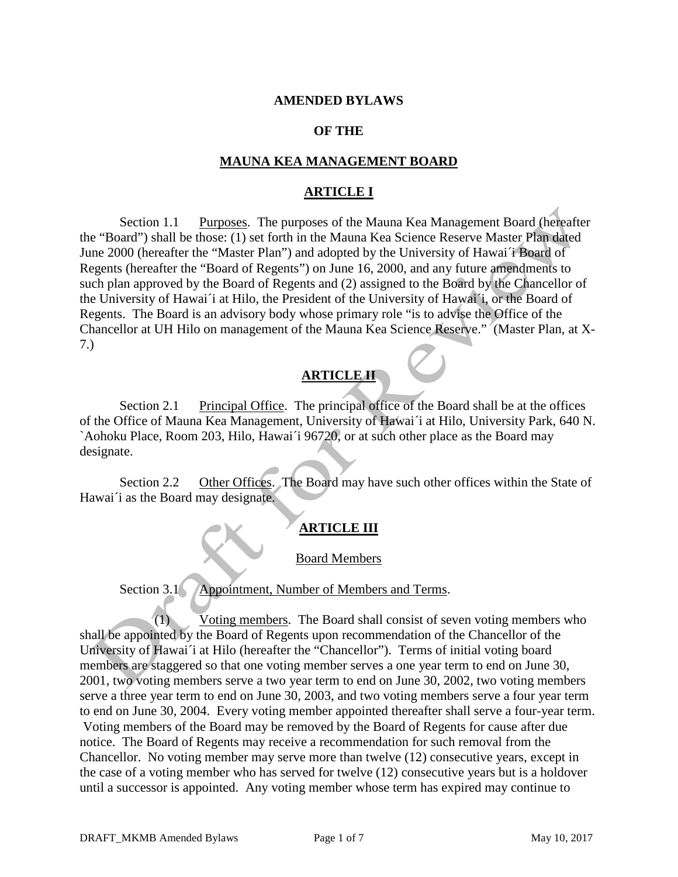### **AMENDED BYLAWS**

### **OF THE**

### **MAUNA KEA MANAGEMENT BOARD**

### **ARTICLE I**

Section 1.1 Purposes. The purposes of the Mauna Kea Management Board (hereafter the "Board") shall be those: (1) set forth in the Mauna Kea Science Reserve Master Plan dated June 2000 (hereafter the "Master Plan") and adopted by the University of Hawai´i Board of Regents (hereafter the "Board of Regents") on June 16, 2000, and any future amendments to such plan approved by the Board of Regents and (2) assigned to the Board by the Chancellor of the University of Hawai´i at Hilo, the President of the University of Hawai´i, or the Board of Regents. The Board is an advisory body whose primary role "is to advise the Office of the Chancellor at UH Hilo on management of the Mauna Kea Science Reserve." (Master Plan, at X-7.)

### **ARTICLE II**

Section 2.1 Principal Office. The principal office of the Board shall be at the offices of the Office of Mauna Kea Management, University of Hawai´i at Hilo, University Park, 640 N. `Aohoku Place, Room 203, Hilo, Hawai´i 96720, or at such other place as the Board may designate.

Section 2.2 Other Offices. The Board may have such other offices within the State of Hawai<sup>'</sup> i as the Board may designate.

### **ARTICLE III**

#### Board Members

Section 3.1 Appointment, Number of Members and Terms.

(1) Voting members. The Board shall consist of seven voting members who shall be appointed by the Board of Regents upon recommendation of the Chancellor of the University of Hawai´i at Hilo (hereafter the "Chancellor"). Terms of initial voting board members are staggered so that one voting member serves a one year term to end on June 30, 2001, two voting members serve a two year term to end on June 30, 2002, two voting members serve a three year term to end on June 30, 2003, and two voting members serve a four year term to end on June 30, 2004. Every voting member appointed thereafter shall serve a four-year term. Voting members of the Board may be removed by the Board of Regents for cause after due notice. The Board of Regents may receive a recommendation for such removal from the Chancellor. No voting member may serve more than twelve (12) consecutive years, except in the case of a voting member who has served for twelve (12) consecutive years but is a holdover until a successor is appointed. Any voting member whose term has expired may continue to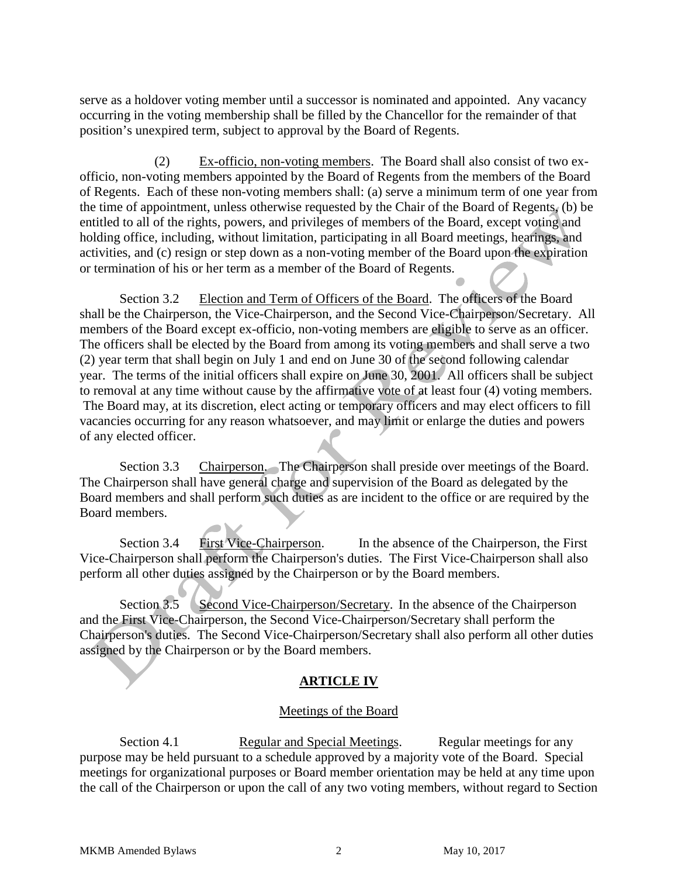serve as a holdover voting member until a successor is nominated and appointed. Any vacancy occurring in the voting membership shall be filled by the Chancellor for the remainder of that position's unexpired term, subject to approval by the Board of Regents.

(2) Ex-officio, non-voting members. The Board shall also consist of two exofficio, non-voting members appointed by the Board of Regents from the members of the Board of Regents. Each of these non-voting members shall: (a) serve a minimum term of one year from the time of appointment, unless otherwise requested by the Chair of the Board of Regents, (b) be entitled to all of the rights, powers, and privileges of members of the Board, except voting and holding office, including, without limitation, participating in all Board meetings, hearings, and activities, and (c) resign or step down as a non-voting member of the Board upon the expiration or termination of his or her term as a member of the Board of Regents.

Section 3.2 Election and Term of Officers of the Board. The officers of the Board shall be the Chairperson, the Vice-Chairperson, and the Second Vice-Chairperson/Secretary. All members of the Board except ex-officio, non-voting members are eligible to serve as an officer. The officers shall be elected by the Board from among its voting members and shall serve a two (2) year term that shall begin on July 1 and end on June 30 of the second following calendar year. The terms of the initial officers shall expire on June 30, 2001. All officers shall be subject to removal at any time without cause by the affirmative vote of at least four (4) voting members. The Board may, at its discretion, elect acting or temporary officers and may elect officers to fill vacancies occurring for any reason whatsoever, and may limit or enlarge the duties and powers of any elected officer.

Section 3.3 Chairperson. The Chairperson shall preside over meetings of the Board. The Chairperson shall have general charge and supervision of the Board as delegated by the Board members and shall perform such duties as are incident to the office or are required by the Board members.

Section 3.4 First Vice-Chairperson. In the absence of the Chairperson, the First Vice-Chairperson shall perform the Chairperson's duties. The First Vice-Chairperson shall also perform all other duties assigned by the Chairperson or by the Board members.

Section 3.5 Second Vice-Chairperson/Secretary. In the absence of the Chairperson and the First Vice-Chairperson, the Second Vice-Chairperson/Secretary shall perform the Chairperson's duties. The Second Vice-Chairperson/Secretary shall also perform all other duties assigned by the Chairperson or by the Board members.

## **ARTICLE IV**

### Meetings of the Board

Section 4.1 **Regular and Special Meetings.** Regular meetings for any purpose may be held pursuant to a schedule approved by a majority vote of the Board. Special meetings for organizational purposes or Board member orientation may be held at any time upon the call of the Chairperson or upon the call of any two voting members, without regard to Section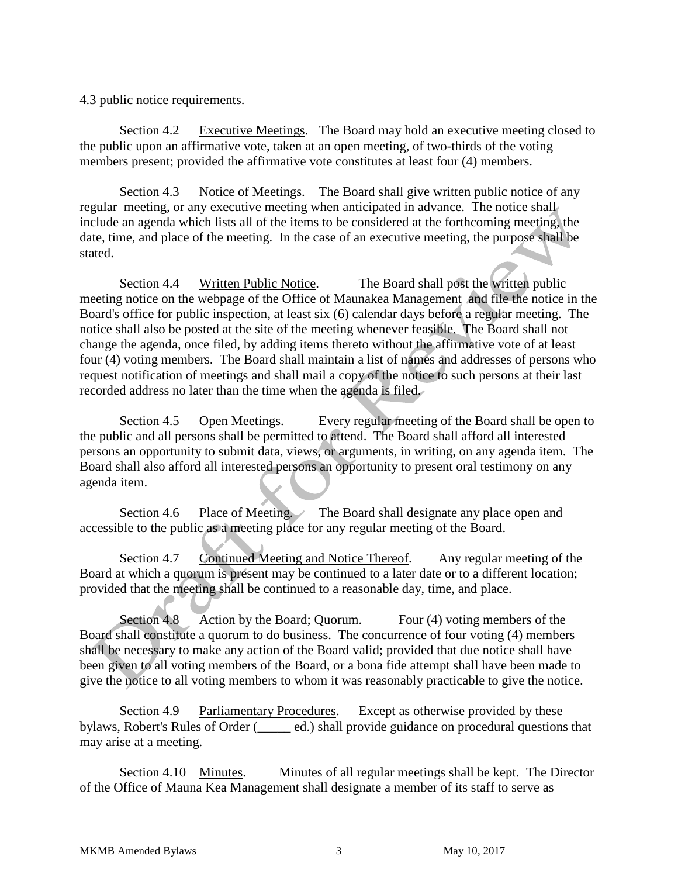4.3 public notice requirements.

Section 4.2 Executive Meetings. The Board may hold an executive meeting closed to the public upon an affirmative vote, taken at an open meeting, of two-thirds of the voting members present; provided the affirmative vote constitutes at least four (4) members.

Section 4.3 Notice of Meetings. The Board shall give written public notice of any regular meeting, or any executive meeting when anticipated in advance. The notice shall include an agenda which lists all of the items to be considered at the forthcoming meeting, the date, time, and place of the meeting. In the case of an executive meeting, the purpose shall be stated.

Section 4.4 Written Public Notice. The Board shall post the written public meeting notice on the webpage of the Office of Maunakea Management and file the notice in the Board's office for public inspection, at least six (6) calendar days before a regular meeting. The notice shall also be posted at the site of the meeting whenever feasible. The Board shall not change the agenda, once filed, by adding items thereto without the affirmative vote of at least four (4) voting members. The Board shall maintain a list of names and addresses of persons who request notification of meetings and shall mail a copy of the notice to such persons at their last recorded address no later than the time when the agenda is filed.

Section 4.5 Open Meetings. Every regular meeting of the Board shall be open to the public and all persons shall be permitted to attend. The Board shall afford all interested persons an opportunity to submit data, views, or arguments, in writing, on any agenda item. The Board shall also afford all interested persons an opportunity to present oral testimony on any agenda item.

Section 4.6 Place of Meeting. The Board shall designate any place open and accessible to the public as a meeting place for any regular meeting of the Board.

Section 4.7 Continued Meeting and Notice Thereof. Any regular meeting of the Board at which a quorum is present may be continued to a later date or to a different location; provided that the meeting shall be continued to a reasonable day, time, and place.

Section 4.8 Action by the Board; Quorum. Four (4) voting members of the Board shall constitute a quorum to do business. The concurrence of four voting (4) members shall be necessary to make any action of the Board valid; provided that due notice shall have been given to all voting members of the Board, or a bona fide attempt shall have been made to give the notice to all voting members to whom it was reasonably practicable to give the notice.

Section 4.9 Parliamentary Procedures. Except as otherwise provided by these bylaws, Robert's Rules of Order (\_\_\_\_\_ ed.) shall provide guidance on procedural questions that may arise at a meeting.

Section 4.10 Minutes. Minutes of all regular meetings shall be kept. The Director of the Office of Mauna Kea Management shall designate a member of its staff to serve as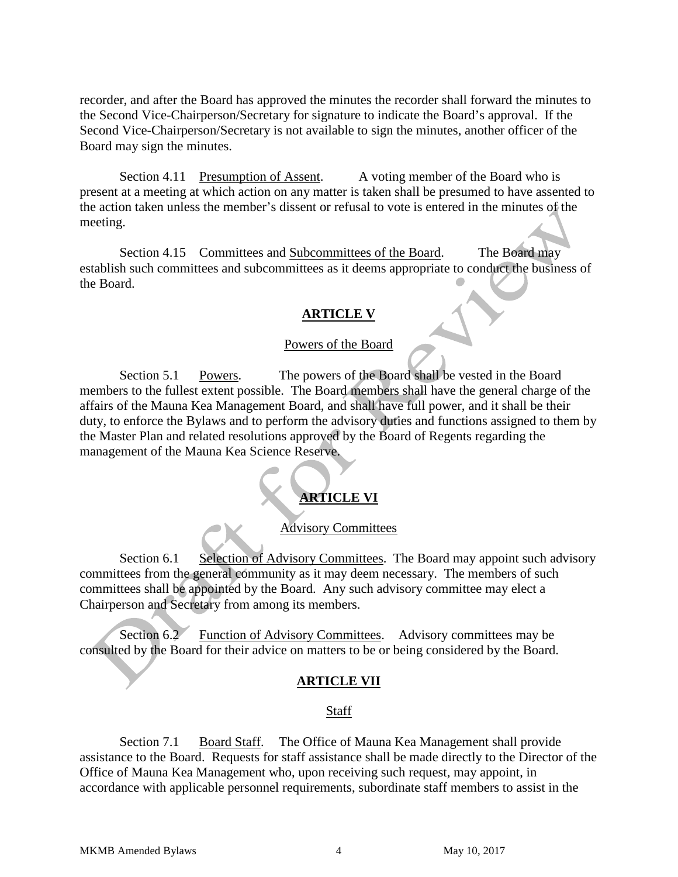recorder, and after the Board has approved the minutes the recorder shall forward the minutes to the Second Vice-Chairperson/Secretary for signature to indicate the Board's approval. If the Second Vice-Chairperson/Secretary is not available to sign the minutes, another officer of the Board may sign the minutes.

Section 4.11 Presumption of Assent. A voting member of the Board who is present at a meeting at which action on any matter is taken shall be presumed to have assented to the action taken unless the member's dissent or refusal to vote is entered in the minutes of the meeting.

Section 4.15 Committees and Subcommittees of the Board. The Board may establish such committees and subcommittees as it deems appropriate to conduct the business of the Board.

### **ARTICLE V**

### Powers of the Board

Section 5.1 Powers. The powers of the Board shall be vested in the Board members to the fullest extent possible. The Board members shall have the general charge of the affairs of the Mauna Kea Management Board, and shall have full power, and it shall be their duty, to enforce the Bylaws and to perform the advisory duties and functions assigned to them by the Master Plan and related resolutions approved by the Board of Regents regarding the management of the Mauna Kea Science Reserve.

# **ARTICLE VI**

### Advisory Committees

Section 6.1 Selection of Advisory Committees. The Board may appoint such advisory committees from the general community as it may deem necessary. The members of such committees shall be appointed by the Board. Any such advisory committee may elect a Chairperson and Secretary from among its members.

Section 6.2 Function of Advisory Committees. Advisory committees may be consulted by the Board for their advice on matters to be or being considered by the Board.

### **ARTICLE VII**

#### Staff

Section 7.1 Board Staff. The Office of Mauna Kea Management shall provide assistance to the Board. Requests for staff assistance shall be made directly to the Director of the Office of Mauna Kea Management who, upon receiving such request, may appoint, in accordance with applicable personnel requirements, subordinate staff members to assist in the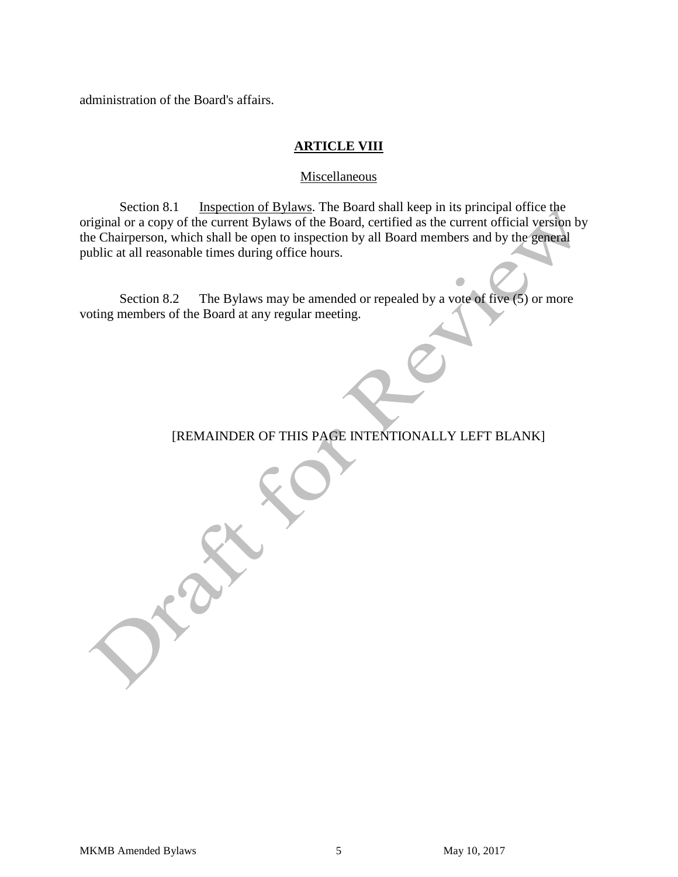administration of the Board's affairs.

### **ARTICLE VIII**

#### Miscellaneous

Section 8.1 Inspection of Bylaws. The Board shall keep in its principal office the original or a copy of the current Bylaws of the Board, certified as the current official version by the Chairperson, which shall be open to inspection by all Board members and by the general public at all reasonable times during office hours.

Section 8.2 The Bylaws may be amended or repealed by a vote of five (5) or more voting members of the Board at any regular meeting.

### [REMAINDER OF THIS PAGE INTENTIONALLY LEFT BLANK]